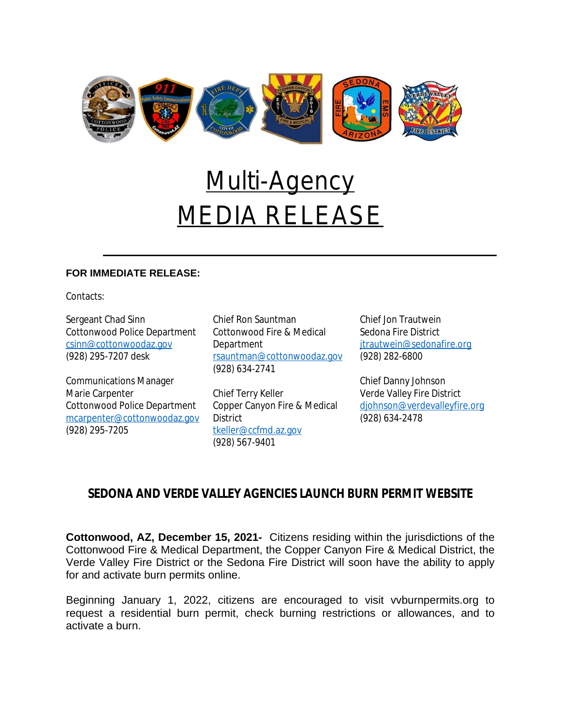

## Multi-Agency MEDIA RELEASE

## **FOR IMMEDIATE RELEASE:**

Contacts:

Sergeant Chad Sinn Cottonwood Police Department [csinn@cottonwoodaz.gov](mailto:csinn@cottonwoodaz.gov) (928) 295-7207 desk

Communications Manager Marie Carpenter Cottonwood Police Department [mcarpenter@cottonwoodaz.gov](mailto:mcarpenter@cottonwoodaz.gov) (928) 295-7205

Chief Ron Sauntman Cottonwood Fire & Medical Department [rsauntman@cottonwoodaz.gov](mailto:rsauntman@cottonwoodaz.gov) (928) 634-2741

Chief Terry Keller Copper Canyon Fire & Medical District [tkeller@ccfmd.az.gov](mailto:tkeller@ccfmd.az.gov) (928) 567-9401

Chief Jon Trautwein Sedona Fire District [jtrautwein@sedonafire.org](mailto:jtrautwein@sedonafire.org) (928) 282-6800

Chief Danny Johnson Verde Valley Fire District [djohnson@verdevalleyfire.org](mailto:djohnson@verdevalleyfire.org) (928) 634-2478

## **SEDONA AND VERDE VALLEY AGENCIES LAUNCH BURN PERMIT WEBSITE**

**Cottonwood, AZ, December 15, 2021-** Citizens residing within the jurisdictions of the Cottonwood Fire & Medical Department, the Copper Canyon Fire & Medical District, the Verde Valley Fire District or the Sedona Fire District will soon have the ability to apply for and activate burn permits online.

Beginning January 1, 2022, citizens are encouraged to visit vvburnpermits.org to request a residential burn permit, check burning restrictions or allowances, and to activate a burn.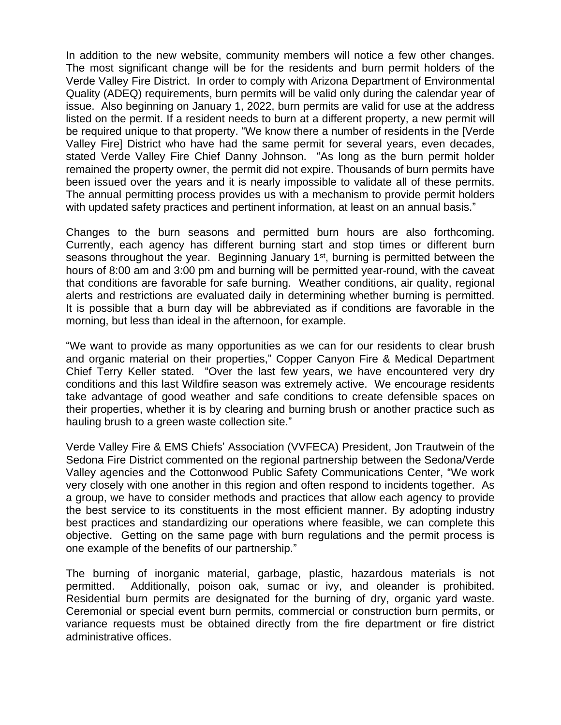In addition to the new website, community members will notice a few other changes. The most significant change will be for the residents and burn permit holders of the Verde Valley Fire District. In order to comply with Arizona Department of Environmental Quality (ADEQ) requirements, burn permits will be valid only during the calendar year of issue. Also beginning on January 1, 2022, burn permits are valid for use at the address listed on the permit. If a resident needs to burn at a different property, a new permit will be required unique to that property. "We know there a number of residents in the [Verde Valley Fire] District who have had the same permit for several years, even decades, stated Verde Valley Fire Chief Danny Johnson. "As long as the burn permit holder remained the property owner, the permit did not expire. Thousands of burn permits have been issued over the years and it is nearly impossible to validate all of these permits. The annual permitting process provides us with a mechanism to provide permit holders with updated safety practices and pertinent information, at least on an annual basis."

Changes to the burn seasons and permitted burn hours are also forthcoming. Currently, each agency has different burning start and stop times or different burn seasons throughout the year. Beginning January 1<sup>st</sup>, burning is permitted between the hours of 8:00 am and 3:00 pm and burning will be permitted year-round, with the caveat that conditions are favorable for safe burning. Weather conditions, air quality, regional alerts and restrictions are evaluated daily in determining whether burning is permitted. It is possible that a burn day will be abbreviated as if conditions are favorable in the morning, but less than ideal in the afternoon, for example.

"We want to provide as many opportunities as we can for our residents to clear brush and organic material on their properties," Copper Canyon Fire & Medical Department Chief Terry Keller stated. "Over the last few years, we have encountered very dry conditions and this last Wildfire season was extremely active. We encourage residents take advantage of good weather and safe conditions to create defensible spaces on their properties, whether it is by clearing and burning brush or another practice such as hauling brush to a green waste collection site."

Verde Valley Fire & EMS Chiefs' Association (VVFECA) President, Jon Trautwein of the Sedona Fire District commented on the regional partnership between the Sedona/Verde Valley agencies and the Cottonwood Public Safety Communications Center, "We work very closely with one another in this region and often respond to incidents together. As a group, we have to consider methods and practices that allow each agency to provide the best service to its constituents in the most efficient manner. By adopting industry best practices and standardizing our operations where feasible, we can complete this objective. Getting on the same page with burn regulations and the permit process is one example of the benefits of our partnership."

The burning of inorganic material, garbage, plastic, hazardous materials is not permitted. Additionally, poison oak, sumac or ivy, and oleander is prohibited. Residential burn permits are designated for the burning of dry, organic yard waste. Ceremonial or special event burn permits, commercial or construction burn permits, or variance requests must be obtained directly from the fire department or fire district administrative offices.